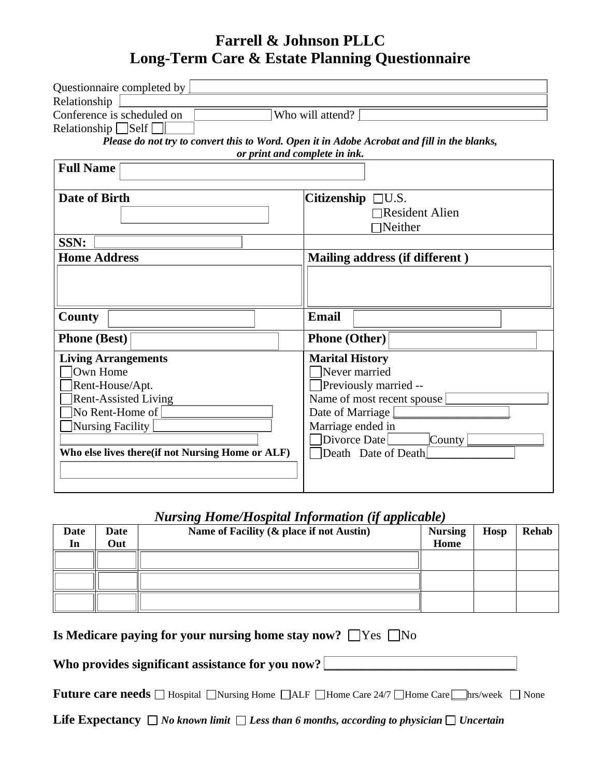## **Farrell & Johnson PLLC Long-Term Care & Estate Planning Questionnaire**

| Questionnaire completed by                                                                                                   |                                |  |  |  |
|------------------------------------------------------------------------------------------------------------------------------|--------------------------------|--|--|--|
| Relationship                                                                                                                 |                                |  |  |  |
| Conference is scheduled on<br>Who will attend?<br>Relationship $\Box$ Self $\Box$                                            |                                |  |  |  |
| Please do not try to convert this to Word. Open it in Adobe Acrobat and fill in the blanks,<br>or print and complete in ink. |                                |  |  |  |
| <b>Full Name</b>                                                                                                             |                                |  |  |  |
| Date of Birth                                                                                                                | Citizenship $\Box$ U.S.        |  |  |  |
|                                                                                                                              | <b>□Resident Alien</b>         |  |  |  |
|                                                                                                                              | $\Box$ Neither                 |  |  |  |
| SSN:                                                                                                                         |                                |  |  |  |
| <b>Home Address</b>                                                                                                          | Mailing address (if different) |  |  |  |
|                                                                                                                              |                                |  |  |  |
|                                                                                                                              |                                |  |  |  |
| County                                                                                                                       | <b>Email</b>                   |  |  |  |
| <b>Phone</b> (Best)                                                                                                          | <b>Phone (Other)</b>           |  |  |  |
| <b>Living Arrangements</b>                                                                                                   | <b>Marital History</b>         |  |  |  |
| Own Home                                                                                                                     | $\exists$ Never married        |  |  |  |
| Rent-House/Apt.                                                                                                              | Previously married --          |  |  |  |
| <b>Rent-Assisted Living</b>                                                                                                  | Name of most recent spouse     |  |  |  |
| No Rent-Home of                                                                                                              | Date of Marriage               |  |  |  |
| Nursing Facility                                                                                                             | Marriage ended in              |  |  |  |
|                                                                                                                              | Divorce Date<br>County         |  |  |  |
| Who else lives there (if not Nursing Home or ALF)                                                                            | Death Date of Death            |  |  |  |
|                                                                                                                              |                                |  |  |  |
|                                                                                                                              |                                |  |  |  |

## *Nursing Home/Hospital Information (if applicable)*

| Date<br>In | Date<br>Out | Name of Facility (& place if not Austin) | <b>Nursing</b><br>Home | Hosp | <b>Rehab</b> |
|------------|-------------|------------------------------------------|------------------------|------|--------------|
|            |             |                                          |                        |      |              |
|            |             |                                          |                        |      |              |
|            |             |                                          |                        |      |              |

|  |  | Is Medicare paying for your nursing home stay now? $\Box$ Yes $\Box$ No |  |  |
|--|--|-------------------------------------------------------------------------|--|--|
|  |  |                                                                         |  |  |

## Who provides significant assistance for you now?

**Future care needs**  $\Box$  Hospital  $\Box$  Nursing Home  $\Box$  ALF  $\Box$  Home Care  $24/7$   $\Box$  Home Care  $\Box$  hrs/week  $\Box$  None

Life Expectancy □ No known limit □ Less than 6 months, according to physician □ Uncertain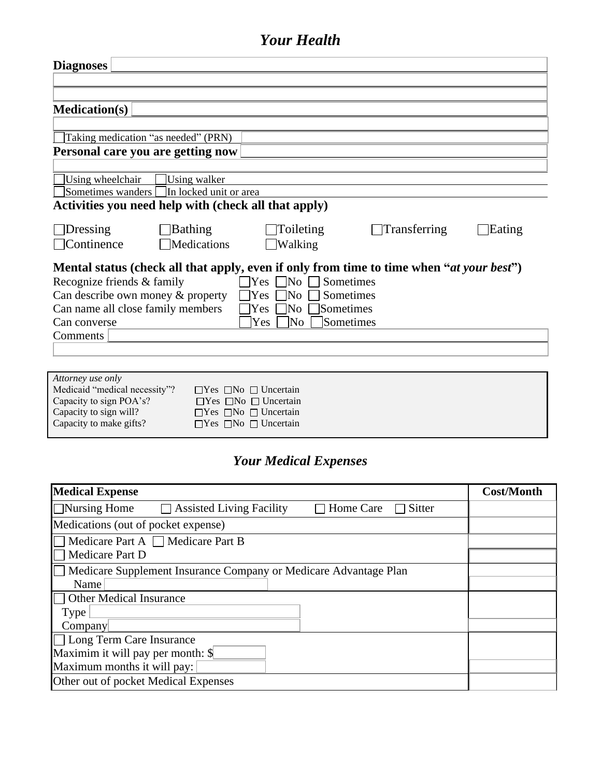# *Your Health*

| <b>Diagnoses</b>                                                                                  |
|---------------------------------------------------------------------------------------------------|
|                                                                                                   |
|                                                                                                   |
| <b>Medication(s)</b>                                                                              |
|                                                                                                   |
| Taking medication "as needed" (PRN)                                                               |
| Personal care you are getting now                                                                 |
|                                                                                                   |
| Using walker<br>Using wheelchair                                                                  |
| Sometimes wanders [<br>In locked unit or area                                                     |
| Activities you need help with (check all that apply)                                              |
|                                                                                                   |
| <b>Bathing</b><br>Toileting<br>Transferring<br><b>Dressing</b><br>Eating                          |
| $\Box$ Continence<br>Medications<br>$\Box$ Walking                                                |
|                                                                                                   |
| Mental status (check all that apply, even if only from time to time when " <i>at your best</i> ") |
| Recognize friends & family<br>$\Box$ No<br>Sometimes<br>$\operatorname{Yes}$                      |
| Can describe own money & property<br>Sometimes<br>lNo<br>Yes                                      |
| Can name all close family members<br>Sometimes<br>]No∣<br>Yes                                     |
| Sometimes<br>Yes<br> No<br>Can converse                                                           |
| Comments                                                                                          |
|                                                                                                   |
|                                                                                                   |
| Attorney use only                                                                                 |
| Medicaid "medical necessity"?<br>$\Box$ Yes $\Box$ No $\Box$ Uncertain                            |
| Capacity to sign POA's?<br>$\Box$ Yes $\Box$ No $\Box$ Uncertain                                  |
| Capacity to sign will?<br>$\Box$ Yes $\Box$ No $\Box$ Uncertain                                   |
| Capacity to make gifts?<br>$\Box$ Yes $\Box$ No $\Box$ Uncertain                                  |

# *Your Medical Expenses*

| <b>Medical Expense</b>                                                                  | <b>Cost/Month</b> |
|-----------------------------------------------------------------------------------------|-------------------|
| $\Box$ Nursing Home<br><b>Assisted Living Facility</b><br>Home Care<br>Sitter<br>$\Box$ |                   |
| Medications (out of pocket expense)                                                     |                   |
| Medicare Part A $\Box$ Medicare Part B                                                  |                   |
| Medicare Part D                                                                         |                   |
| Medicare Supplement Insurance Company or Medicare Advantage Plan                        |                   |
| Name                                                                                    |                   |
| <b>Other Medical Insurance</b>                                                          |                   |
| Type <sup>1</sup>                                                                       |                   |
| Company                                                                                 |                   |
| □ Long Term Care Insurance                                                              |                   |
| Maximim it will pay per month: \$                                                       |                   |
| Maximum months it will pay:                                                             |                   |
| Other out of pocket Medical Expenses                                                    |                   |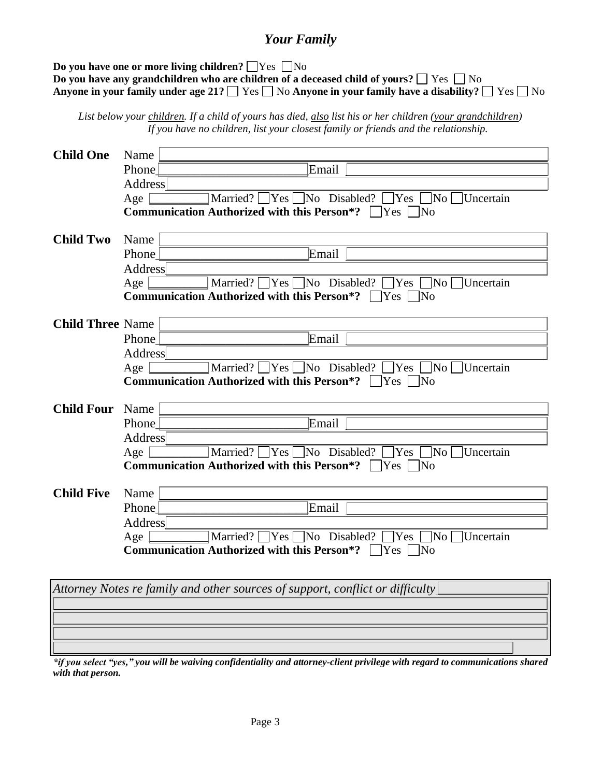## *Your Family*

**Do you have one or more living children?**  $\Box$  Yes  $\Box$  No **Do you have any grandchildren who are children of a deceased child of yours?**  $\Box$  Yes  $\Box$  No **Anyone in your family under age 21?**  $\Box$  Yes  $\Box$  No **Anyone in your family have a disability?**  $\Box$  Yes  $\Box$  No

*List below your children. If a child of yours has died, also list his or her children (your grandchildren) If you have no children, list your closest family or friends and the relationship.*

| <b>Child One</b>        | Name           |                                                                               |
|-------------------------|----------------|-------------------------------------------------------------------------------|
|                         | Phone          | Email                                                                         |
|                         | <b>Address</b> |                                                                               |
|                         | Age            | Married? $\Box$ Yes $\Box$ No Disabled? $\Box$ Yes $\Box$ No $\Box$ Uncertain |
|                         |                | Communication Authorized with this Person*? $\Box$ Yes $\Box$ No              |
| <b>Child Two</b>        | Name           |                                                                               |
|                         | Phone          | Email                                                                         |
|                         | <b>Address</b> |                                                                               |
|                         | Age            | Married? $\Box$ Yes $\Box$ No Disabled? $\Box$ Yes $\Box$ No $\Box$ Uncertain |
|                         |                | Communication Authorized with this Person*? □ Yes □ No                        |
| <b>Child Three Name</b> |                |                                                                               |
|                         | Phone          | Email                                                                         |
|                         | Address        |                                                                               |
|                         | Age            | Married? Ves No Disabled? Yes No Uncertain                                    |
|                         |                | Communication Authorized with this Person*? □ Yes □ No                        |
| <b>Child Four</b>       | Name           |                                                                               |
|                         | Phone          | Email                                                                         |
|                         | <b>Address</b> |                                                                               |
|                         | Age $ $        | Married? TYes TNo Disabled? TYes No Uncertain                                 |
|                         |                | <b>Communication Authorized with this Person*?</b> $\Box$ Yes $\Box$ No       |
| <b>Child Five</b>       | Name           |                                                                               |
|                         | Phone          | Email                                                                         |
|                         | <b>Address</b> |                                                                               |
|                         | Age            | Married? $\Box$ Yes $\Box$ No Disabled? $\Box$ Yes $\Box$ No $\Box$ Uncertain |
|                         |                | <b>Communication Authorized with this Person*?</b> $\Box$ Yes $\Box$ No       |
|                         |                |                                                                               |
|                         |                | Attorney Notes re family and other sources of support, conflict or difficulty |
|                         |                |                                                                               |
|                         |                |                                                                               |
|                         |                |                                                                               |
|                         |                |                                                                               |

*\*if you select "yes," you will be waiving confidentiality and attorney-client privilege with regard to communications shared with that person.*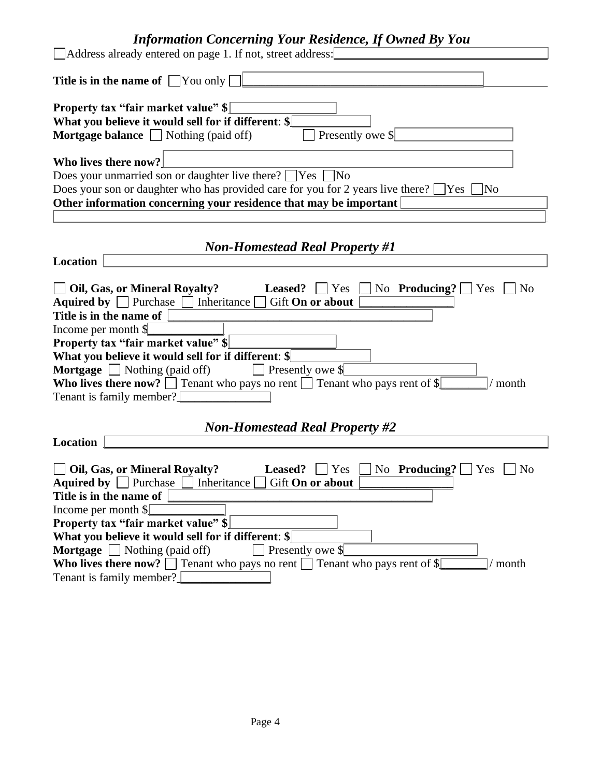# *Information Concerning Your Residence, If Owned By You*

| Address already entered on page 1. If not, street address:                                                                                                                                                                                                                                                                                                                                                                                                                                                                                                      |  |  |  |  |
|-----------------------------------------------------------------------------------------------------------------------------------------------------------------------------------------------------------------------------------------------------------------------------------------------------------------------------------------------------------------------------------------------------------------------------------------------------------------------------------------------------------------------------------------------------------------|--|--|--|--|
| Title is in the name of $\Box$ You only $\Box$                                                                                                                                                                                                                                                                                                                                                                                                                                                                                                                  |  |  |  |  |
| <b>Property tax "fair market value"</b> \$<br>What you believe it would sell for if different: \$<br>Presently owe \$<br><b>Mortgage balance</b> $\Box$ Nothing (paid off)                                                                                                                                                                                                                                                                                                                                                                                      |  |  |  |  |
| Who lives there now?                                                                                                                                                                                                                                                                                                                                                                                                                                                                                                                                            |  |  |  |  |
| Does your unmarried son or daughter live there? $\Box$ Yes $\Box$ No                                                                                                                                                                                                                                                                                                                                                                                                                                                                                            |  |  |  |  |
| Does your son or daughter who has provided care for you for 2 years live there? $\Box$ Yes $\Box$ No                                                                                                                                                                                                                                                                                                                                                                                                                                                            |  |  |  |  |
| Other information concerning your residence that may be important                                                                                                                                                                                                                                                                                                                                                                                                                                                                                               |  |  |  |  |
|                                                                                                                                                                                                                                                                                                                                                                                                                                                                                                                                                                 |  |  |  |  |
| <b>Non-Homestead Real Property #1</b>                                                                                                                                                                                                                                                                                                                                                                                                                                                                                                                           |  |  |  |  |
| <b>Location</b>                                                                                                                                                                                                                                                                                                                                                                                                                                                                                                                                                 |  |  |  |  |
| <b>DOI</b> , Gas, or Mineral Royalty?<br>$\Box$ No <b>Producing?</b> $\Box$ Yes $\Box$ No<br><b>Leased?</b> $\Box$ Yes<br>Aquired by $\Box$ Purchase $\Box$ Inheritance $\Box$ Gift On or about<br>Title is in the name of<br>Income per month \$<br>Property tax "fair market value" \$<br>What you believe it would sell for if different: \$<br><b>Mortgage</b> $\Box$ Nothing (paid off)<br>$\Box$ Presently owe \$<br>Who lives there now? $\square$ Tenant who pays no rent $\square$ Tenant who pays rent of \$<br>$/$ month<br>Tenant is family member? |  |  |  |  |
| <b>Non-Homestead Real Property #2</b>                                                                                                                                                                                                                                                                                                                                                                                                                                                                                                                           |  |  |  |  |
| <b>Location</b>                                                                                                                                                                                                                                                                                                                                                                                                                                                                                                                                                 |  |  |  |  |
| Oil, Gas, or Mineral Royalty?<br>$\Box$ No Producing? $\Box$ Yes<br>Leased?<br>Yes<br>N <sub>0</sub><br>Aquired by $\Box$ Purchase $\Box$ Inheritance<br>Gift On or about<br>Title is in the name of<br>Income per month $\mathcal{S}$                                                                                                                                                                                                                                                                                                                          |  |  |  |  |
| Property tax "fair market value" \$                                                                                                                                                                                                                                                                                                                                                                                                                                                                                                                             |  |  |  |  |
| What you believe it would sell for if different: \$                                                                                                                                                                                                                                                                                                                                                                                                                                                                                                             |  |  |  |  |
| <b>Mortgage</b> $\Box$ Nothing (paid off)<br>Presently owe \$                                                                                                                                                                                                                                                                                                                                                                                                                                                                                                   |  |  |  |  |
| <b>Who lives there now?</b> $\Box$ Tenant who pays no rent $\Box$ Tenant who pays rent of \$<br>/ month                                                                                                                                                                                                                                                                                                                                                                                                                                                         |  |  |  |  |
| Tenant is family member?                                                                                                                                                                                                                                                                                                                                                                                                                                                                                                                                        |  |  |  |  |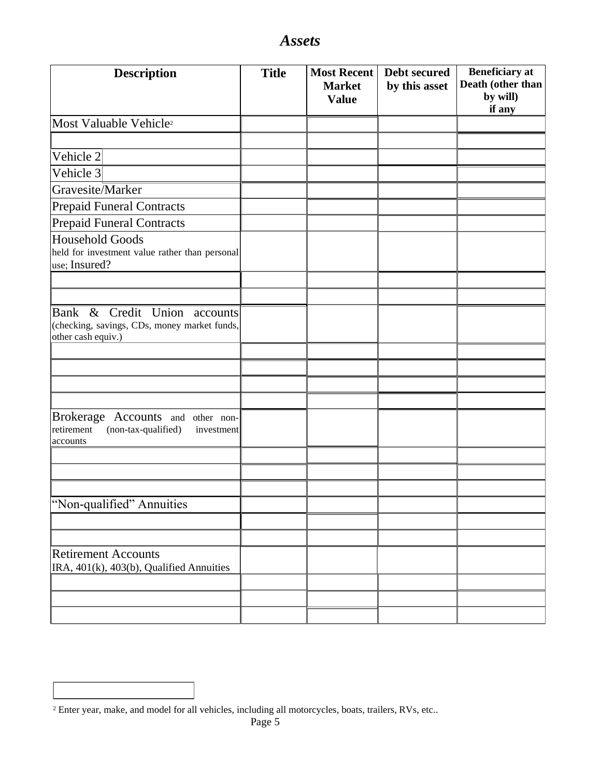| <b>Description</b>                                                                                 | <b>Title</b> | <b>Most Recent</b><br><b>Market</b><br><b>Value</b> | <b>Debt secured</b><br>by this asset | <b>Beneficiary</b> at<br>Death (other than<br>by will)<br>if any |
|----------------------------------------------------------------------------------------------------|--------------|-----------------------------------------------------|--------------------------------------|------------------------------------------------------------------|
| Most Valuable Vehicle <sup>2</sup>                                                                 |              |                                                     |                                      |                                                                  |
|                                                                                                    |              |                                                     |                                      |                                                                  |
| Vehicle 2                                                                                          |              |                                                     |                                      |                                                                  |
| Vehicle 3                                                                                          |              |                                                     |                                      |                                                                  |
| Gravesite/Marker                                                                                   |              |                                                     |                                      |                                                                  |
| <b>Prepaid Funeral Contracts</b>                                                                   |              |                                                     |                                      |                                                                  |
| <b>Prepaid Funeral Contracts</b>                                                                   |              |                                                     |                                      |                                                                  |
| <b>Household Goods</b><br>held for investment value rather than personal<br>use; Insured?          |              |                                                     |                                      |                                                                  |
|                                                                                                    |              |                                                     |                                      |                                                                  |
|                                                                                                    |              |                                                     |                                      |                                                                  |
| Bank & Credit Union accounts<br>(checking, savings, CDs, money market funds,<br>other cash equiv.) |              |                                                     |                                      |                                                                  |
|                                                                                                    |              |                                                     |                                      |                                                                  |
|                                                                                                    |              |                                                     |                                      |                                                                  |
|                                                                                                    |              |                                                     |                                      |                                                                  |
|                                                                                                    |              |                                                     |                                      |                                                                  |
| Brokerage Accounts and other non-<br>(non-tax-qualified)<br>retirement<br>investment<br>accounts   |              |                                                     |                                      |                                                                  |
|                                                                                                    |              |                                                     |                                      |                                                                  |
|                                                                                                    |              |                                                     |                                      |                                                                  |
|                                                                                                    |              |                                                     |                                      |                                                                  |
| "Non-qualified" Annuities                                                                          |              |                                                     |                                      |                                                                  |
|                                                                                                    |              |                                                     |                                      |                                                                  |
|                                                                                                    |              |                                                     |                                      |                                                                  |
| <b>Retirement Accounts</b><br>IRA, 401(k), 403(b), Qualified Annuities                             |              |                                                     |                                      |                                                                  |
|                                                                                                    |              |                                                     |                                      |                                                                  |
|                                                                                                    |              |                                                     |                                      |                                                                  |
|                                                                                                    |              |                                                     |                                      |                                                                  |

*Assets*

<sup>2</sup> Enter year, make, and model for all vehicles, including all motorcycles, boats, trailers, RVs, etc..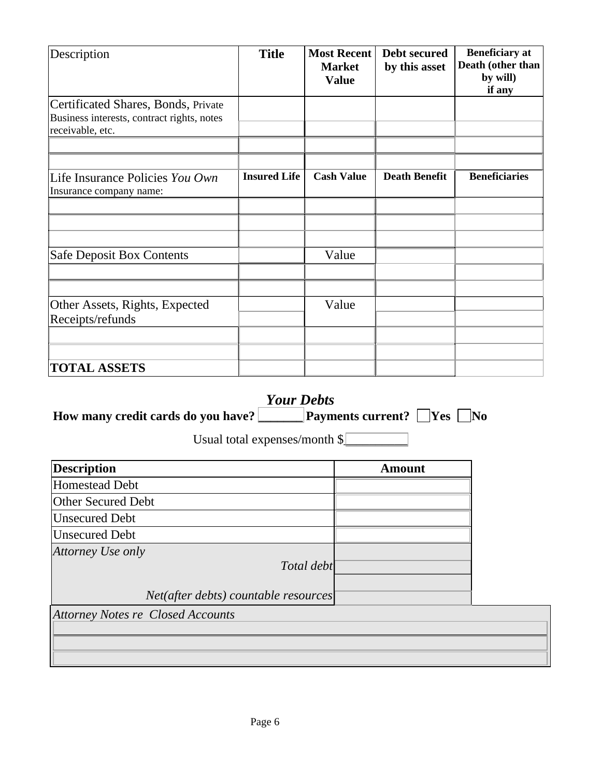| Description                                                                                           | <b>Title</b>        | <b>Most Recent</b><br><b>Market</b><br><b>Value</b> | Debt secured<br>by this asset | <b>Beneficiary</b> at<br>Death (other than<br>by will)<br>if any |
|-------------------------------------------------------------------------------------------------------|---------------------|-----------------------------------------------------|-------------------------------|------------------------------------------------------------------|
| Certificated Shares, Bonds, Private<br>Business interests, contract rights, notes<br>receivable, etc. |                     |                                                     |                               |                                                                  |
| Life Insurance Policies You Own<br>Insurance company name:                                            | <b>Insured Life</b> | <b>Cash Value</b>                                   | <b>Death Benefit</b>          | <b>Beneficiaries</b>                                             |
| <b>Safe Deposit Box Contents</b>                                                                      |                     | Value                                               |                               |                                                                  |
| Other Assets, Rights, Expected<br>Receipts/refunds                                                    |                     | Value                                               |                               |                                                                  |
| <b>TOTAL ASSETS</b>                                                                                   |                     |                                                     |                               |                                                                  |

| <b>Your Debts</b>                                |                                                            |  |
|--------------------------------------------------|------------------------------------------------------------|--|
| How many credit cards do you have?               | $\exists$ No<br><b>Payments current?</b> $\Box$ Yes $\Box$ |  |
| Usual total expenses/month $\lvert \cdot \rvert$ |                                                            |  |

| <b>Description</b>                   | Amount |
|--------------------------------------|--------|
| Homestead Debt                       |        |
| <b>Other Secured Debt</b>            |        |
| <b>Unsecured Debt</b>                |        |
| <b>Unsecured Debt</b>                |        |
| Attorney Use only                    |        |
| Total debt                           |        |
|                                      |        |
| Net(after debts) countable resources |        |

*Attorney Notes re Closed Accounts*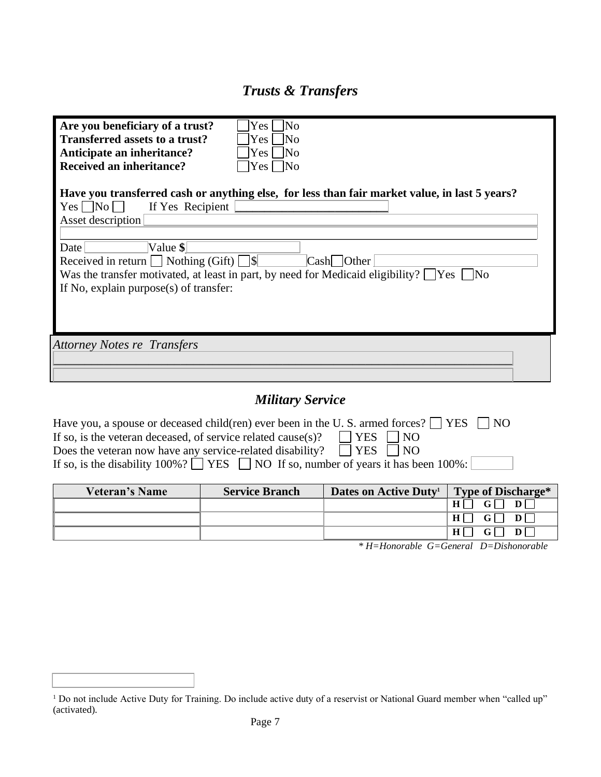## *Trusts & Transfers*

| Are you beneficiary of a trust?<br>Yes l<br> No<br>Transferred assets to a trust?<br> No<br>Yes:<br>Anticipate an inheritance?<br>7No<br>$Yes \ \blacksquare$<br><b>Received an inheritance?</b><br>$Yes \Box No$         |                            |
|---------------------------------------------------------------------------------------------------------------------------------------------------------------------------------------------------------------------------|----------------------------|
| Have you transferred cash or anything else, for less than fair market value, in last 5 years?<br>$Yes \Box No \Box$<br>If Yes Recipient<br>Asset description                                                              |                            |
| Value \$ <br>Date<br>Received in return $\Box$ Nothing (Gift) $\Box$<br>Was the transfer motivated, at least in part, by need for Medicaid eligibility? $\Box$ Yes $\Box$ No<br>If No, explain purpose $(s)$ of transfer: | $\text{Cash}\square$ Other |
| <b>Attorney Notes re Transfers</b>                                                                                                                                                                                        |                            |
|                                                                                                                                                                                                                           |                            |

## *Military Service*

| Have you, a spouse or deceased child(ren) ever been in the U.S. armed forces? $\Box$ YES $\Box$ NO |  |
|----------------------------------------------------------------------------------------------------|--|
| $\Box$ YES $\Box$ NO<br>If so, is the veteran deceased, of service related cause(s)?               |  |
| Does the veteran now have any service-related disability? $\square$ YES $\square$ NO               |  |
| If so, is the disability 100%? $\Box$ YES $\Box$ NO If so, number of years it has been 100%:       |  |

| Veteran's Name | <b>Service Branch</b> | Dates on Active Duty <sup>1</sup> | Type of Discharge* |
|----------------|-----------------------|-----------------------------------|--------------------|
|                |                       |                                   |                    |
|                |                       |                                   |                    |
|                |                       |                                   | H <sub>1</sub>     |

*\* H=Honorable G=General D=Dishonorable*

<sup>&</sup>lt;sup>1</sup> Do not include Active Duty for Training. Do include active duty of a reservist or National Guard member when "called up" (activated).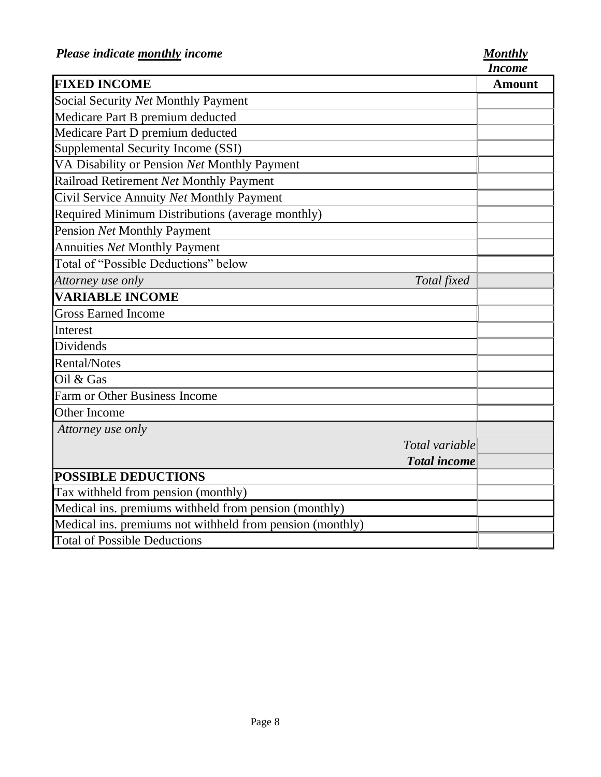*Income*

|                                                           |                     | Income        |
|-----------------------------------------------------------|---------------------|---------------|
| <b>FIXED INCOME</b>                                       |                     | <b>Amount</b> |
| Social Security Net Monthly Payment                       |                     |               |
| Medicare Part B premium deducted                          |                     |               |
| Medicare Part D premium deducted                          |                     |               |
| Supplemental Security Income (SSI)                        |                     |               |
| VA Disability or Pension Net Monthly Payment              |                     |               |
| Railroad Retirement Net Monthly Payment                   |                     |               |
| Civil Service Annuity Net Monthly Payment                 |                     |               |
| Required Minimum Distributions (average monthly)          |                     |               |
| Pension Net Monthly Payment                               |                     |               |
| <b>Annuities Net Monthly Payment</b>                      |                     |               |
| Total of "Possible Deductions" below                      |                     |               |
| Attorney use only                                         | Total fixed         |               |
| <b>VARIABLE INCOME</b>                                    |                     |               |
| <b>Gross Earned Income</b>                                |                     |               |
| Interest                                                  |                     |               |
| Dividends                                                 |                     |               |
| <b>Rental/Notes</b>                                       |                     |               |
| Oil & Gas                                                 |                     |               |
| Farm or Other Business Income                             |                     |               |
| Other Income                                              |                     |               |
| Attorney use only                                         |                     |               |
|                                                           | Total variable      |               |
|                                                           | <b>Total</b> income |               |
| <b>POSSIBLE DEDUCTIONS</b>                                |                     |               |
| Tax withheld from pension (monthly)                       |                     |               |
| Medical ins. premiums withheld from pension (monthly)     |                     |               |
| Medical ins. premiums not withheld from pension (monthly) |                     |               |
| <b>Total of Possible Deductions</b>                       |                     |               |